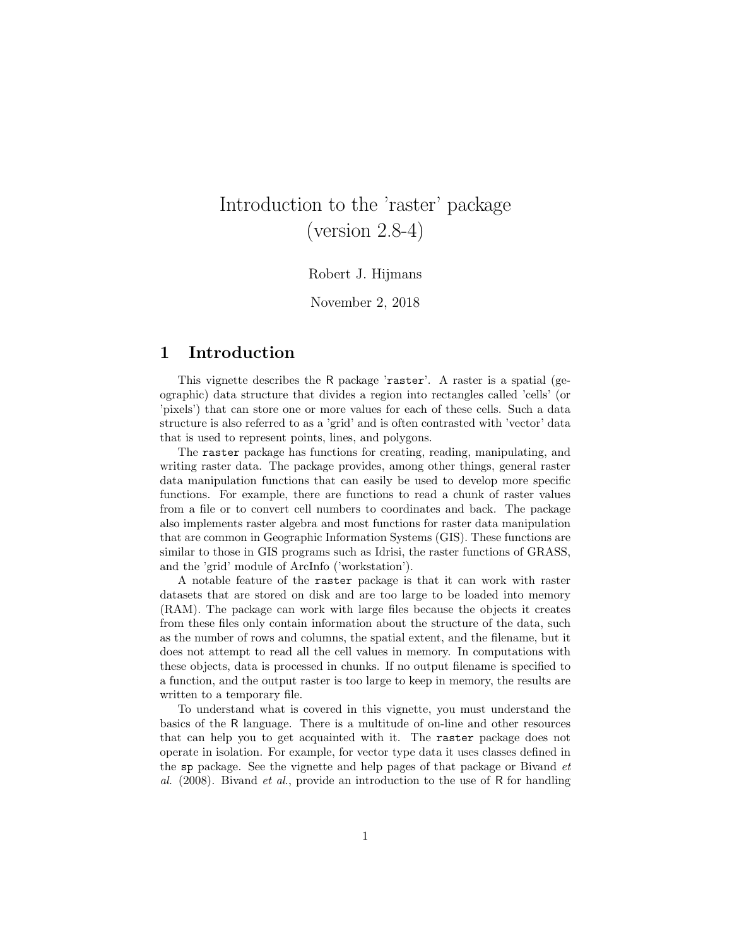# Introduction to the 'raster' package (version 2.8-4)

Robert J. Hijmans

November 2, 2018

### 1 Introduction

This vignette describes the R package 'raster'. A raster is a spatial (geographic) data structure that divides a region into rectangles called 'cells' (or 'pixels') that can store one or more values for each of these cells. Such a data structure is also referred to as a 'grid' and is often contrasted with 'vector' data that is used to represent points, lines, and polygons.

The raster package has functions for creating, reading, manipulating, and writing raster data. The package provides, among other things, general raster data manipulation functions that can easily be used to develop more specific functions. For example, there are functions to read a chunk of raster values from a file or to convert cell numbers to coordinates and back. The package also implements raster algebra and most functions for raster data manipulation that are common in Geographic Information Systems (GIS). These functions are similar to those in GIS programs such as Idrisi, the raster functions of GRASS, and the 'grid' module of ArcInfo ('workstation').

A notable feature of the raster package is that it can work with raster datasets that are stored on disk and are too large to be loaded into memory (RAM). The package can work with large files because the objects it creates from these files only contain information about the structure of the data, such as the number of rows and columns, the spatial extent, and the filename, but it does not attempt to read all the cell values in memory. In computations with these objects, data is processed in chunks. If no output filename is specified to a function, and the output raster is too large to keep in memory, the results are written to a temporary file.

To understand what is covered in this vignette, you must understand the basics of the R language. There is a multitude of on-line and other resources that can help you to get acquainted with it. The raster package does not operate in isolation. For example, for vector type data it uses classes defined in the sp package. See the vignette and help pages of that package or Bivand et al. (2008). Bivand et al., provide an introduction to the use of R for handling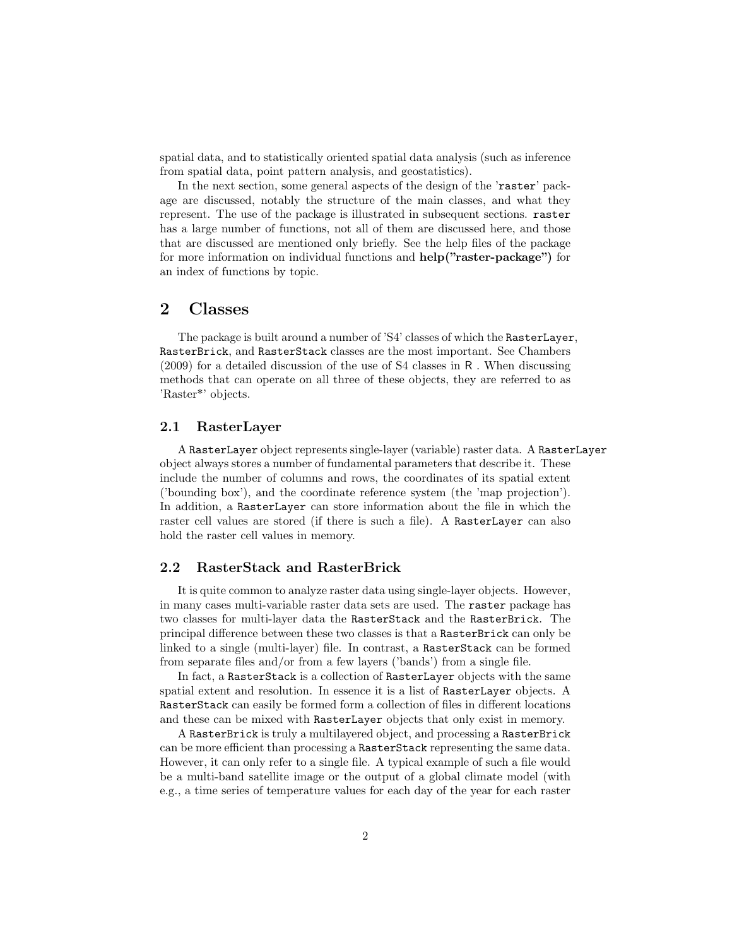spatial data, and to statistically oriented spatial data analysis (such as inference from spatial data, point pattern analysis, and geostatistics).

In the next section, some general aspects of the design of the 'raster' package are discussed, notably the structure of the main classes, and what they represent. The use of the package is illustrated in subsequent sections. raster has a large number of functions, not all of them are discussed here, and those that are discussed are mentioned only briefly. See the help files of the package for more information on individual functions and help("raster-package") for an index of functions by topic.

### 2 Classes

The package is built around a number of 'S4' classes of which the RasterLayer, RasterBrick, and RasterStack classes are the most important. See Chambers (2009) for a detailed discussion of the use of S4 classes in R . When discussing methods that can operate on all three of these objects, they are referred to as 'Raster\*' objects.

#### 2.1 RasterLayer

A RasterLayer object represents single-layer (variable) raster data. A RasterLayer object always stores a number of fundamental parameters that describe it. These include the number of columns and rows, the coordinates of its spatial extent ('bounding box'), and the coordinate reference system (the 'map projection'). In addition, a RasterLayer can store information about the file in which the raster cell values are stored (if there is such a file). A RasterLayer can also hold the raster cell values in memory.

#### 2.2 RasterStack and RasterBrick

It is quite common to analyze raster data using single-layer objects. However, in many cases multi-variable raster data sets are used. The raster package has two classes for multi-layer data the RasterStack and the RasterBrick. The principal difference between these two classes is that a RasterBrick can only be linked to a single (multi-layer) file. In contrast, a RasterStack can be formed from separate files and/or from a few layers ('bands') from a single file.

In fact, a RasterStack is a collection of RasterLayer objects with the same spatial extent and resolution. In essence it is a list of RasterLayer objects. A RasterStack can easily be formed form a collection of files in different locations and these can be mixed with RasterLayer objects that only exist in memory.

A RasterBrick is truly a multilayered object, and processing a RasterBrick can be more efficient than processing a RasterStack representing the same data. However, it can only refer to a single file. A typical example of such a file would be a multi-band satellite image or the output of a global climate model (with e.g., a time series of temperature values for each day of the year for each raster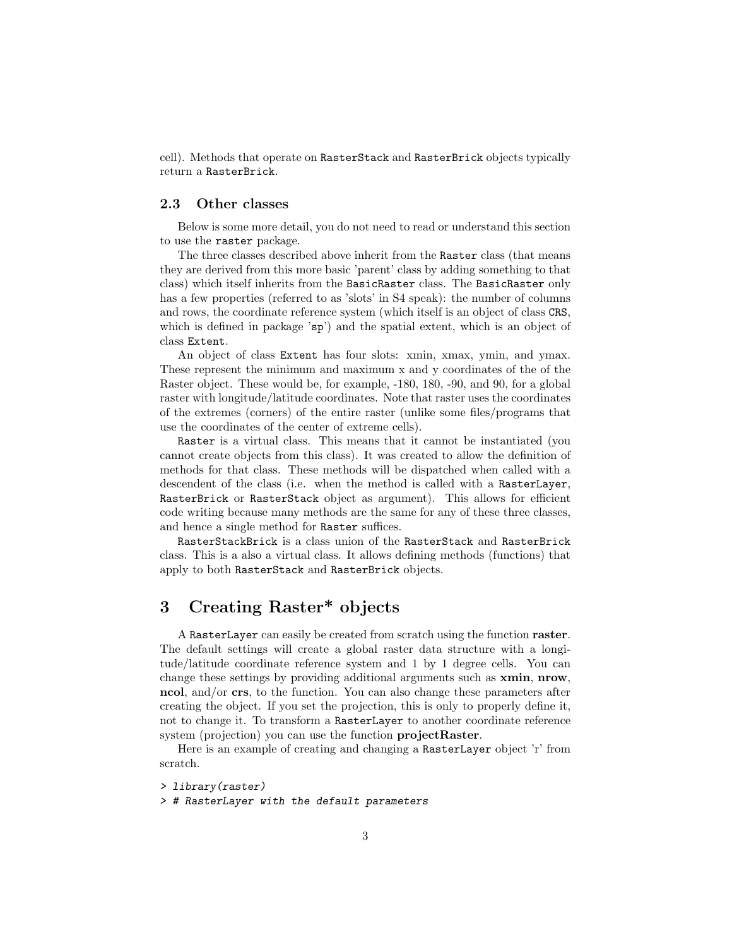cell). Methods that operate on RasterStack and RasterBrick objects typically return a RasterBrick.

#### 2.3 Other classes

Below is some more detail, you do not need to read or understand this section to use the raster package.

The three classes described above inherit from the Raster class (that means they are derived from this more basic 'parent' class by adding something to that class) which itself inherits from the BasicRaster class. The BasicRaster only has a few properties (referred to as 'slots' in S4 speak): the number of columns and rows, the coordinate reference system (which itself is an object of class CRS, which is defined in package 'sp') and the spatial extent, which is an object of class Extent.

An object of class Extent has four slots: xmin, xmax, ymin, and ymax. These represent the minimum and maximum x and y coordinates of the of the Raster object. These would be, for example, -180, 180, -90, and 90, for a global raster with longitude/latitude coordinates. Note that raster uses the coordinates of the extremes (corners) of the entire raster (unlike some files/programs that use the coordinates of the center of extreme cells).

Raster is a virtual class. This means that it cannot be instantiated (you cannot create objects from this class). It was created to allow the definition of methods for that class. These methods will be dispatched when called with a descendent of the class (i.e. when the method is called with a RasterLayer, RasterBrick or RasterStack object as argument). This allows for efficient code writing because many methods are the same for any of these three classes, and hence a single method for Raster suffices.

RasterStackBrick is a class union of the RasterStack and RasterBrick class. This is a also a virtual class. It allows defining methods (functions) that apply to both RasterStack and RasterBrick objects.

# 3 Creating Raster\* objects

A RasterLayer can easily be created from scratch using the function raster. The default settings will create a global raster data structure with a longitude/latitude coordinate reference system and 1 by 1 degree cells. You can change these settings by providing additional arguments such as xmin, nrow, ncol, and/or crs, to the function. You can also change these parameters after creating the object. If you set the projection, this is only to properly define it, not to change it. To transform a RasterLayer to another coordinate reference system (projection) you can use the function projectRaster.

Here is an example of creating and changing a RasterLayer object 'r' from scratch.

```
> library(raster)
```
> # RasterLayer with the default parameters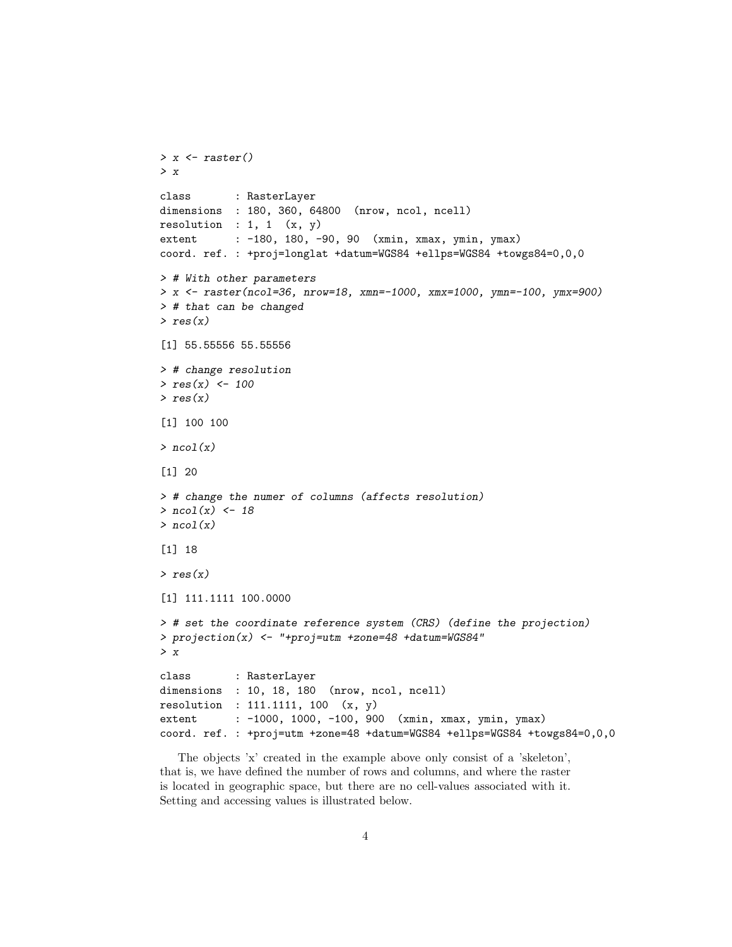```
> x \leftarrow \text{raster}()> x
class : RasterLayer
dimensions : 180, 360, 64800 (nrow, ncol, ncell)
resolution : 1, 1 (x, y)extent : -180, 180, -90, 90 (xmin, xmax, ymin, ymax)
coord. ref. : +proj=longlat +datum=WGS84 +ellps=WGS84 +towgs84=0,0,0
> # With other parameters
> x <- raster(ncol=36, nrow=18, xmn=-1000, xmx=1000, ymn=-100, ymx=900)
> # that can be changed
> res(x)
[1] 55.55556 55.55556
> # change resolution
> res(x) < -100> res(x)
[1] 100 100
> ncol(x)[1] 20
> # change the numer of columns (affects resolution)
> ncol(x) < -18> ncol(x)[1] 18
> res(x)
[1] 111.1111 100.0000
> # set the coordinate reference system (CRS) (define the projection)
> projection(x) <- "+proj=utm +zone=48 +datum=WGS84"
> \, \rm xclass : RasterLayer
dimensions : 10, 18, 180 (nrow, ncol, ncell)
resolution : 111.1111, 100 (x, y)
extent : -1000, 1000, -100, 900 (xmin, xmax, ymin, ymax)
coord. ref. : +proj=utm +zone=48 +datum=WGS84 +ellps=WGS84 +towgs84=0,0,0
```

```
The objects 'x' created in the example above only consist of a 'skeleton',
that is, we have defined the number of rows and columns, and where the raster
is located in geographic space, but there are no cell-values associated with it.
Setting and accessing values is illustrated below.
```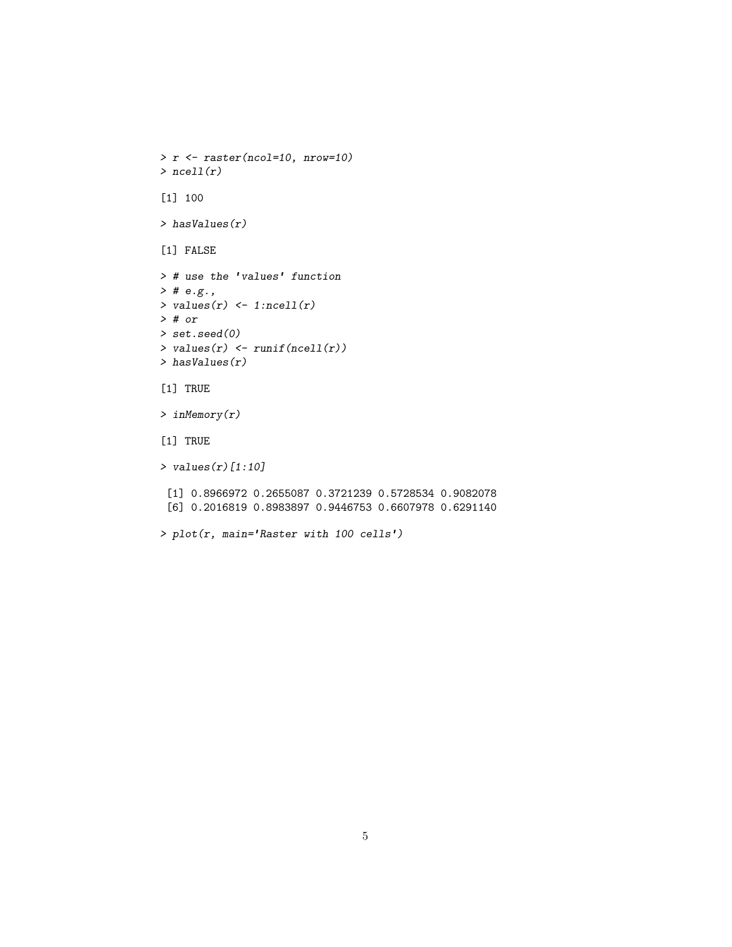```
> r <- raster(ncol=10, nrow=10)
> ncell(r)[1] 100
> hasValues(r)
[1] FALSE
> # use the 'values' function
> # e.g.,
> values(r) \leftarrow 1:ncell(r)
> # or
> set.seed(0)
> values(r) \leftarrow runif(ncell(r))
> hasValues(r)
[1] TRUE
> inMemory(r)
[1] TRUE
> values(r)[1:10]
```
[1] 0.8966972 0.2655087 0.3721239 0.5728534 0.9082078 [6] 0.2016819 0.8983897 0.9446753 0.6607978 0.6291140

```
> plot(r, main='Raster with 100 cells')
```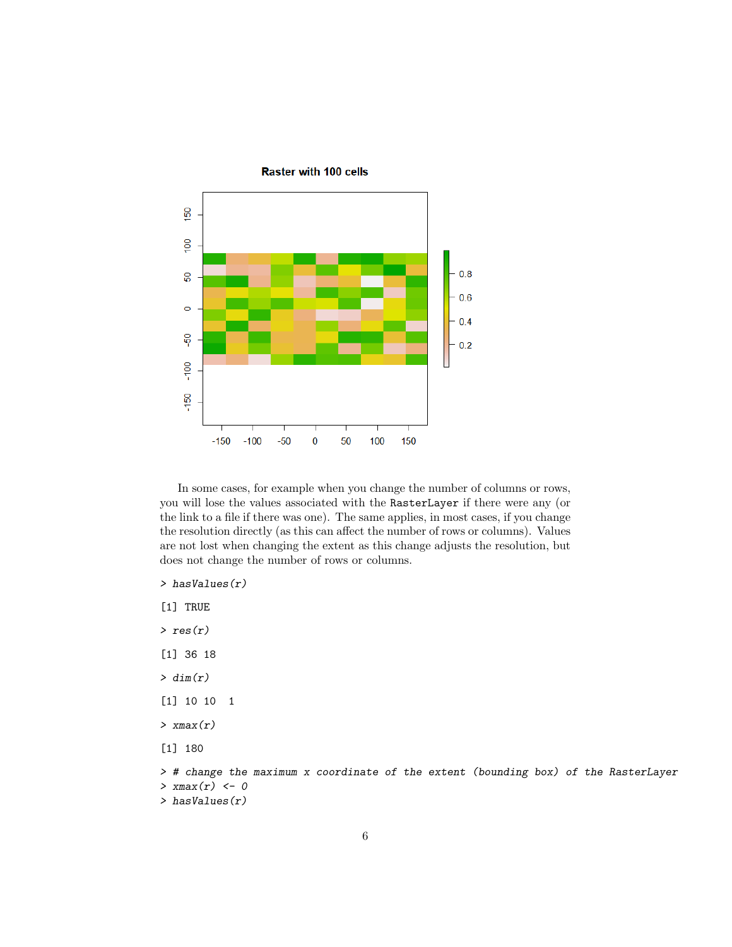

In some cases, for example when you change the number of columns or rows, you will lose the values associated with the RasterLayer if there were any (or the link to a file if there was one). The same applies, in most cases, if you change the resolution directly (as this can affect the number of rows or columns). Values are not lost when changing the extent as this change adjusts the resolution, but does not change the number of rows or columns.

- > hasValues(r)
- [1] TRUE
- $>$  res(r)
- [1] 36 18
- $> dim(r)$
- [1] 10 10 1
- $>$  xmax $(r)$
- [1] 180

```
> # change the maximum x coordinate of the extent (bounding box) of the RasterLayer
> xmax(r) <- 0
```

```
> hasValues(r)
```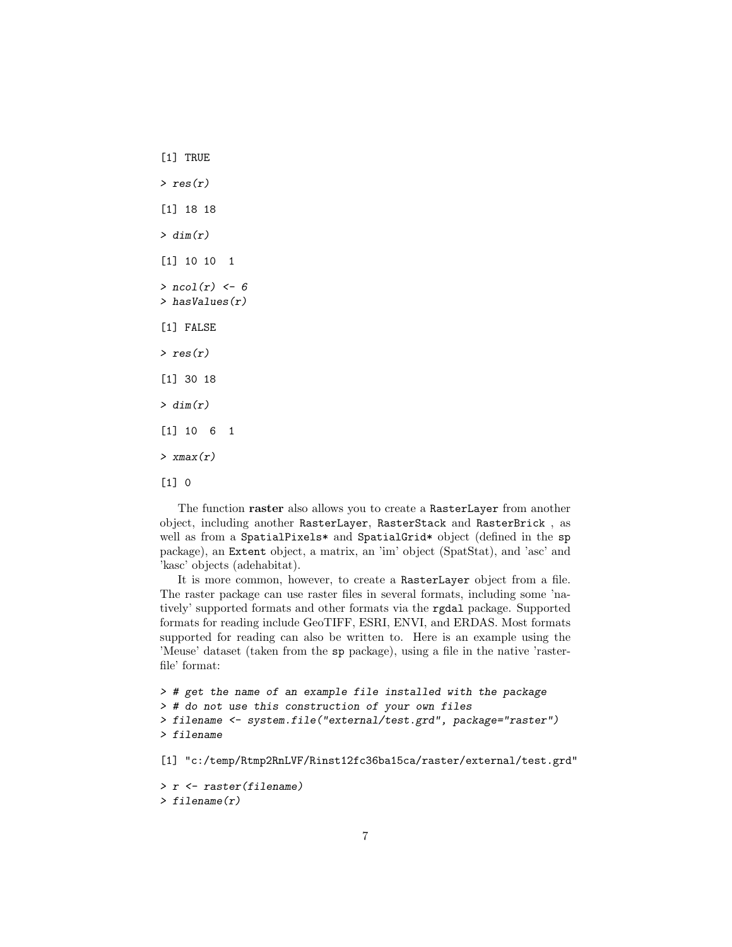[1] TRUE  $>$  res(r) [1] 18 18  $> dim(r)$ [1] 10 10 1  $> ncol(r) < -6$ > hasValues(r) [1] FALSE  $>$  res $(r)$ [1] 30 18  $> dim(r)$ [1] 10 6 1  $> \text{xmax}(r)$ [1] 0

The function raster also allows you to create a RasterLayer from another object, including another RasterLayer, RasterStack and RasterBrick , as well as from a SpatialPixels\* and SpatialGrid\* object (defined in the sp package), an Extent object, a matrix, an 'im' object (SpatStat), and 'asc' and 'kasc' objects (adehabitat).

It is more common, however, to create a RasterLayer object from a file. The raster package can use raster files in several formats, including some 'natively' supported formats and other formats via the rgdal package. Supported formats for reading include GeoTIFF, ESRI, ENVI, and ERDAS. Most formats supported for reading can also be written to. Here is an example using the 'Meuse' dataset (taken from the sp package), using a file in the native 'rasterfile' format:

```
> # get the name of an example file installed with the package
> # do not use this construction of your own files
> filename <- system.file("external/test.grd", package="raster")
> filename
```
[1] "c:/temp/Rtmp2RnLVF/Rinst12fc36ba15ca/raster/external/test.grd"

```
> r <- raster(filename)
```

```
> filename(r)
```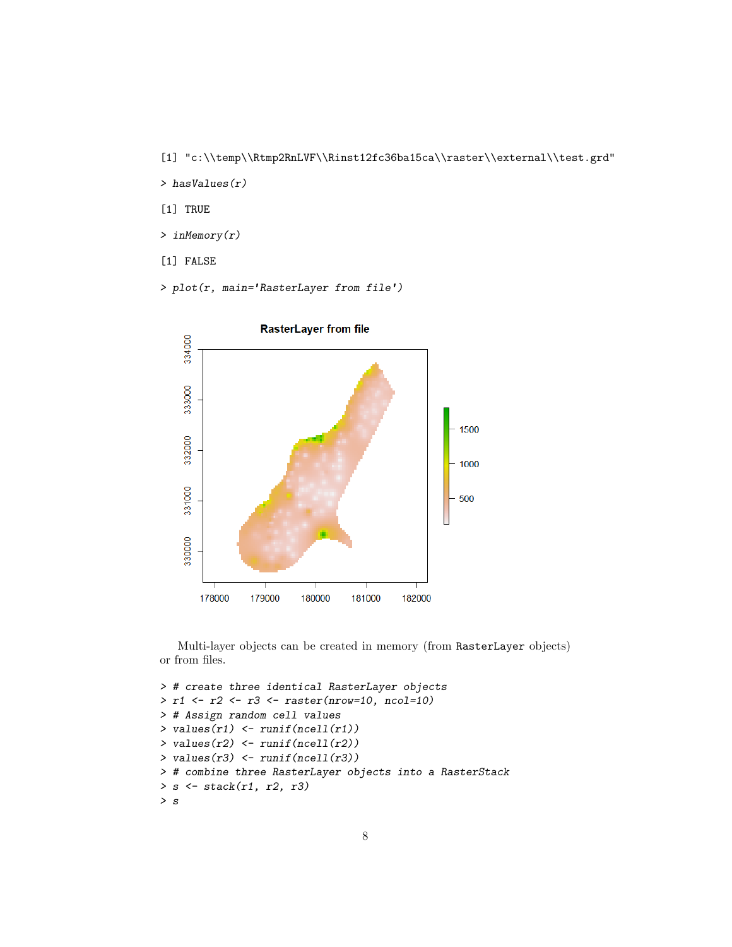- [1] "c:\\temp\\Rtmp2RnLVF\\Rinst12fc36ba15ca\\raster\\external\\test.grd"
- > hasValues(r)
- [1] TRUE
- > inMemory(r)
- [1] FALSE
- > plot(r, main='RasterLayer from file')



Multi-layer objects can be created in memory (from RasterLayer objects) or from files.

```
> # create three identical RasterLayer objects
> r1 <- r2 <- r3 <- raster(nrow=10, ncol=10)
> # Assign random cell values
> values(r1) \leftarrow runif(ncell(r1))
> values(r2) \leftarrow runif(ncell(r2))
> values(r3) \leftarrow runif(ncell(r3))
> # combine three RasterLayer objects into a RasterStack
> s <- stack(r1, r2, r3)
> s
```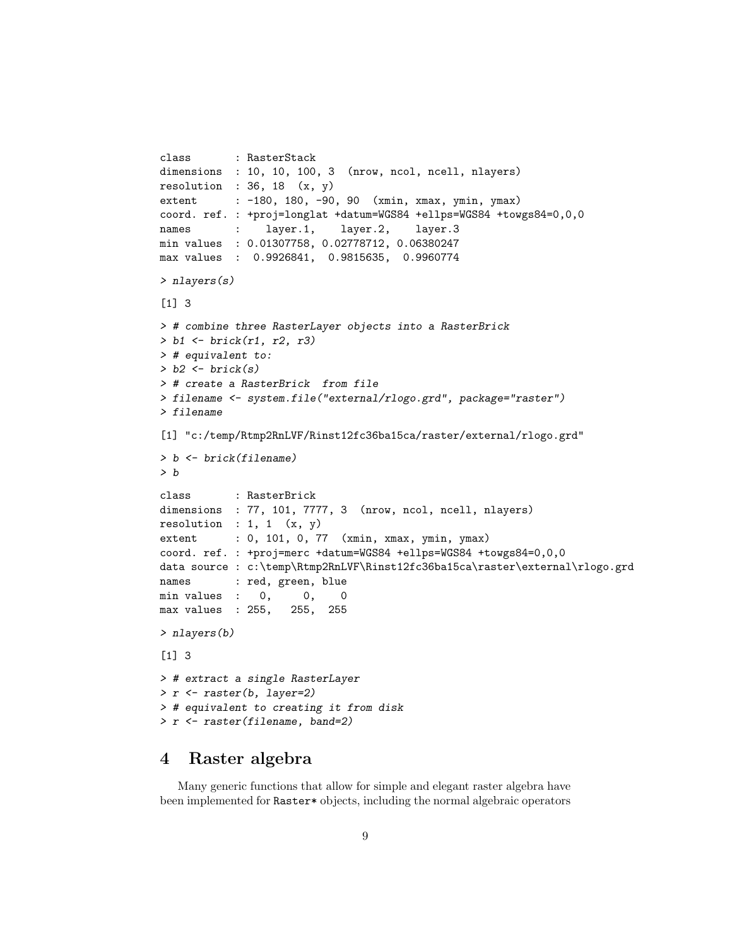```
class : RasterStack
dimensions : 10, 10, 100, 3 (nrow, ncol, ncell, nlayers)
resolution : 36, 18 (x, y)extent : -180, 180, -90, 90 (xmin, xmax, ymin, ymax)
coord. ref. : +proj=longlat +datum=WGS84 +ellps=WGS84 +towgs84=0,0,0
names : layer.1, layer.2, layer.3
min values : 0.01307758, 0.02778712, 0.06380247
max values : 0.9926841, 0.9815635, 0.9960774
> nlayers(s)
[1] 3
> # combine three RasterLayer objects into a RasterBrick
> b1 <- brick(r1, r2, r3)
> # equivalent to:
> b2 \leftarrow brick(s)> # create a RasterBrick from file
> filename <- system.file("external/rlogo.grd", package="raster")
> filename
[1] "c:/temp/Rtmp2RnLVF/Rinst12fc36ba15ca/raster/external/rlogo.grd"
> b <- brick(filename)
> b
class : RasterBrick
dimensions : 77, 101, 7777, 3 (nrow, ncol, ncell, nlayers)
resolution : 1, 1 (x, y)extent : 0, 101, 0, 77 (xmin, xmax, ymin, ymax)
coord. ref. : +proj=merc +datum=WGS84 +ellps=WGS84 +towgs84=0,0,0
data source : c:\temp\Rtmp2RnLVF\Rinst12fc36ba15ca\raster\external\rlogo.grd
names : red, green, blue
min values : 0, 0, 0
max values : 255, 255, 255
> nlayers(b)
[1] 3
> # extract a single RasterLayer
> r <- raster(b, layer=2)
> # equivalent to creating it from disk
> r <- raster(filename, band=2)
```
### 4 Raster algebra

Many generic functions that allow for simple and elegant raster algebra have been implemented for Raster\* objects, including the normal algebraic operators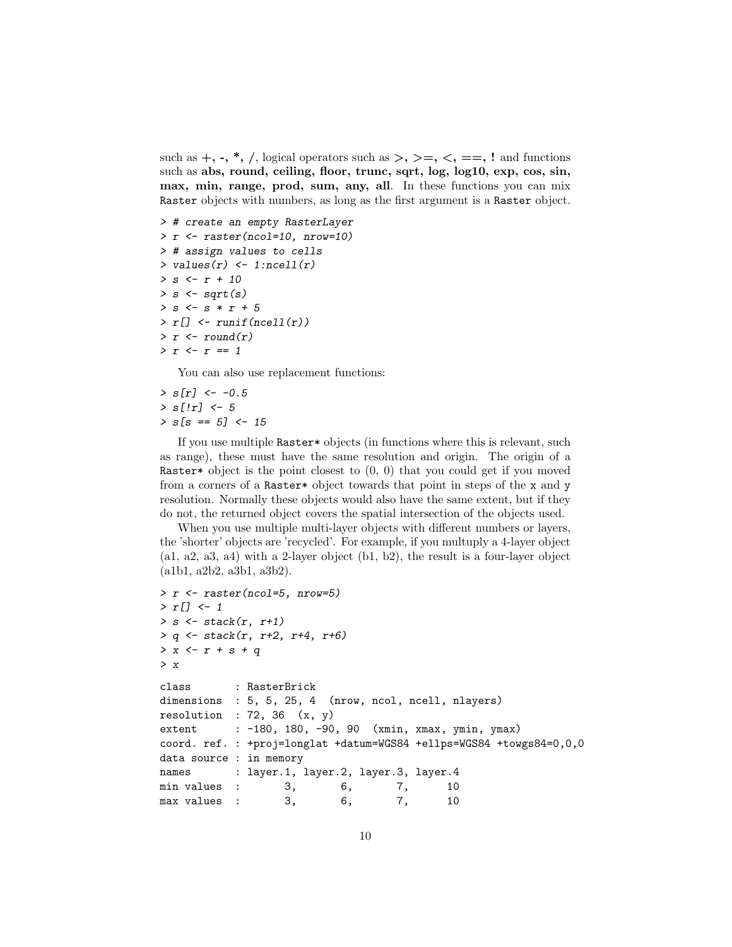such as  $+$ ,  $-$ ,  $*$ ,  $/$ , logical operators such as  $>$ ,  $>=$ ,  $<$ ,  $==$ ,  $\cdot$  and functions such as abs, round, ceiling, floor, trunc, sqrt, log, log10, exp, cos, sin, max, min, range, prod, sum, any, all. In these functions you can mix Raster objects with numbers, as long as the first argument is a Raster object.

```
> # create an empty RasterLayer
> r <- raster(ncol=10, nrow=10)
> # assign values to cells
> values(r) <- 1:ncell(r)
> s \leftarrow r + 10> s \leftarrow sqrt(s)> s < - s * r + 5> r[] \leftarrow runif(ncell(r))> r < -\text{round}(r)> r < r == 1
```
You can also use replacement functions:

```
> s[r] <- -0.5
> s[!r] < -5> s[s == 5] <- 15
```
If you use multiple Raster\* objects (in functions where this is relevant, such as range), these must have the same resolution and origin. The origin of a Raster\* object is the point closest to  $(0, 0)$  that you could get if you moved from a corners of a Raster\* object towards that point in steps of the x and y resolution. Normally these objects would also have the same extent, but if they do not, the returned object covers the spatial intersection of the objects used.

When you use multiple multi-layer objects with different numbers or layers, the 'shorter' objects are 'recycled'. For example, if you multuply a 4-layer object (a1, a2, a3, a4) with a 2-layer object (b1, b2), the result is a four-layer object (a1b1, a2b2, a3b1, a3b2).

```
> r <- raster(ncol=5, nrow=5)
> r[] \leq 1> s \leftarrow \text{stack}(r, r+1)> q \leftarrow \text{stack}(r, r+2, r+4, r+6)> x \leftarrow r + s + q> x
class : RasterBrick
dimensions : 5, 5, 25, 4 (nrow, ncol, ncell, nlayers)
resolution : 72, 36 (x, y)extent : -180, 180, -90, 90 (xmin, xmax, ymin, ymax)
coord. ref. : +proj=longlat +datum=WGS84 +ellps=WGS84 +towgs84=0,0,0
data source : in memory
names : layer.1, layer.2, layer.3, layer.4
min values : 3, 6, 7, 10
max values : 3, 6, 7, 10
```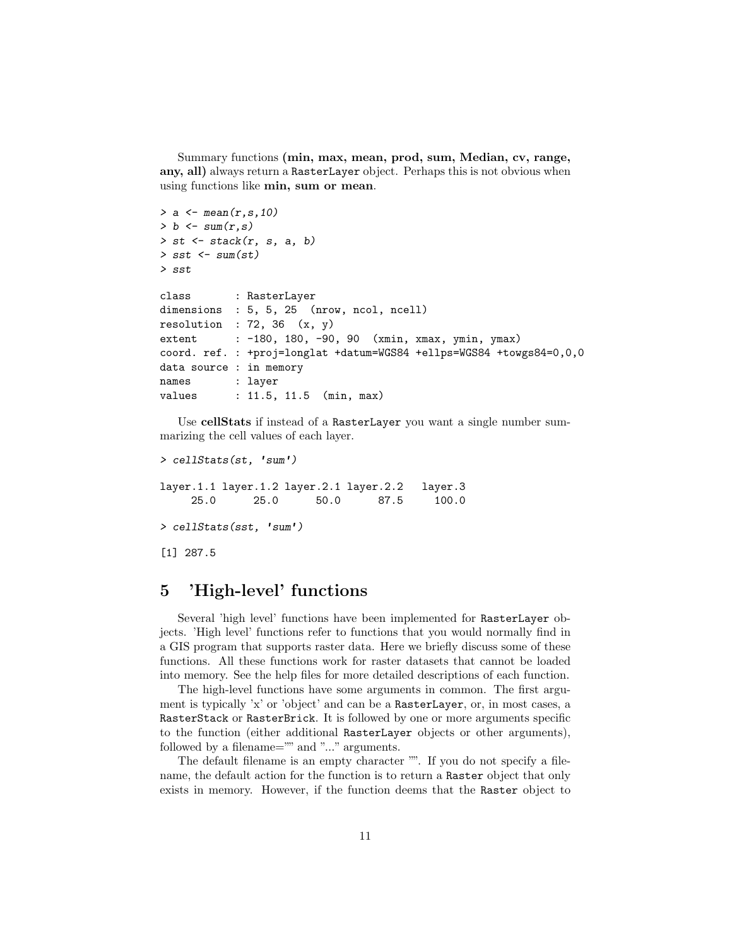Summary functions (min, max, mean, prod, sum, Median, cv, range, any, all) always return a RasterLayer object. Perhaps this is not obvious when using functions like min, sum or mean.

```
> a < - mean(r, s, 10)> b \leq sum(r,s)> st \leq stack(r, s, a, b)> sst \leq sum(st)> sst
class : RasterLayer
dimensions : 5, 5, 25 (nrow, ncol, ncell)
resolution : 72, 36 (x, y)extent : -180, 180, -90, 90 (xmin, xmax, ymin, ymax)
coord. ref. : +proj=longlat +datum=WGS84 +ellps=WGS84 +towgs84=0,0,0
data source : in memory
names : layer
values : 11.5, 11.5 (min, max)
```
Use cellStats if instead of a RasterLayer you want a single number summarizing the cell values of each layer.

```
> cellStats(st, 'sum')
layer.1.1 layer.1.2 layer.2.1 layer.2.2 layer.3
    25.0 25.0 50.0 87.5 100.0
> cellStats(sst, 'sum')
[1] 287.5
```
# 5 'High-level' functions

Several 'high level' functions have been implemented for RasterLayer objects. 'High level' functions refer to functions that you would normally find in a GIS program that supports raster data. Here we briefly discuss some of these functions. All these functions work for raster datasets that cannot be loaded into memory. See the help files for more detailed descriptions of each function.

The high-level functions have some arguments in common. The first argument is typically 'x' or 'object' and can be a RasterLayer, or, in most cases, a RasterStack or RasterBrick. It is followed by one or more arguments specific to the function (either additional RasterLayer objects or other arguments), followed by a filename="" and "..." arguments.

The default filename is an empty character "". If you do not specify a filename, the default action for the function is to return a Raster object that only exists in memory. However, if the function deems that the Raster object to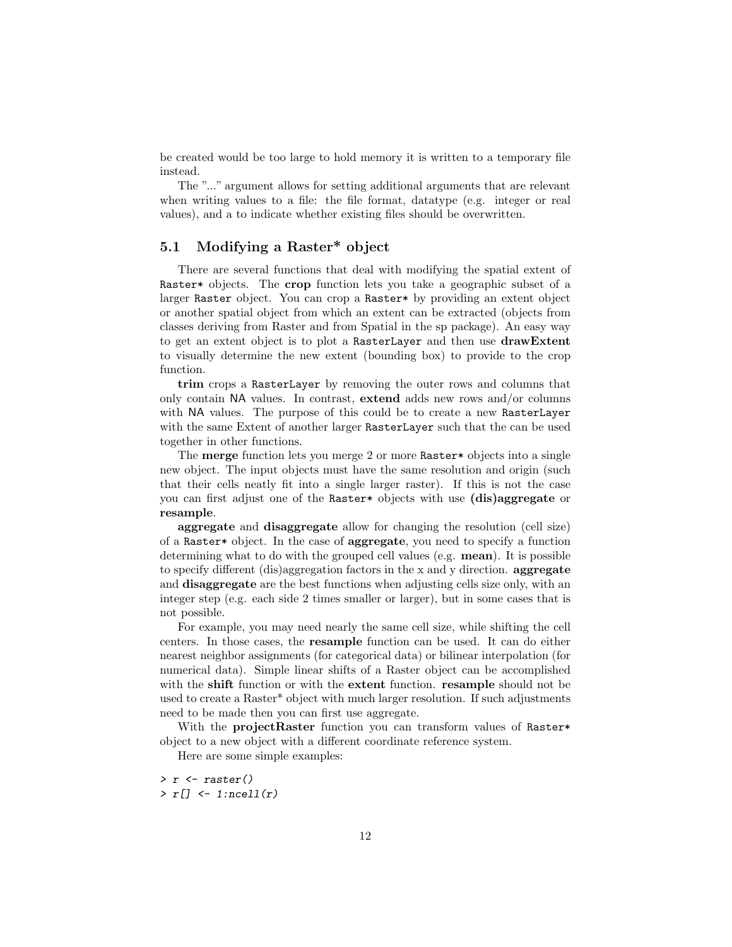be created would be too large to hold memory it is written to a temporary file instead.

The "..." argument allows for setting additional arguments that are relevant when writing values to a file: the file format, datatype (e.g. integer or real values), and a to indicate whether existing files should be overwritten.

### 5.1 Modifying a Raster\* object

There are several functions that deal with modifying the spatial extent of Raster\* objects. The crop function lets you take a geographic subset of a larger Raster object. You can crop a Raster\* by providing an extent object or another spatial object from which an extent can be extracted (objects from classes deriving from Raster and from Spatial in the sp package). An easy way to get an extent object is to plot a RasterLayer and then use drawExtent to visually determine the new extent (bounding box) to provide to the crop function.

trim crops a RasterLayer by removing the outer rows and columns that only contain NA values. In contrast, extend adds new rows and/or columns with NA values. The purpose of this could be to create a new RasterLayer with the same Extent of another larger RasterLayer such that the can be used together in other functions.

The merge function lets you merge 2 or more Raster\* objects into a single new object. The input objects must have the same resolution and origin (such that their cells neatly fit into a single larger raster). If this is not the case you can first adjust one of the Raster\* objects with use (dis)aggregate or resample.

aggregate and disaggregate allow for changing the resolution (cell size) of a Raster\* object. In the case of aggregate, you need to specify a function determining what to do with the grouped cell values (e.g. mean). It is possible to specify different (dis)aggregation factors in the x and y direction. aggregate and **disaggregate** are the best functions when adjusting cells size only, with an integer step (e.g. each side 2 times smaller or larger), but in some cases that is not possible.

For example, you may need nearly the same cell size, while shifting the cell centers. In those cases, the resample function can be used. It can do either nearest neighbor assignments (for categorical data) or bilinear interpolation (for numerical data). Simple linear shifts of a Raster object can be accomplished with the shift function or with the extent function. resample should not be used to create a Raster\* object with much larger resolution. If such adjustments need to be made then you can first use aggregate.

With the projectRaster function you can transform values of Raster\* object to a new object with a different coordinate reference system.

Here are some simple examples:

 $>$  r  $\leftarrow$  raster()  $> r[] \leftarrow 1:ncell(r)$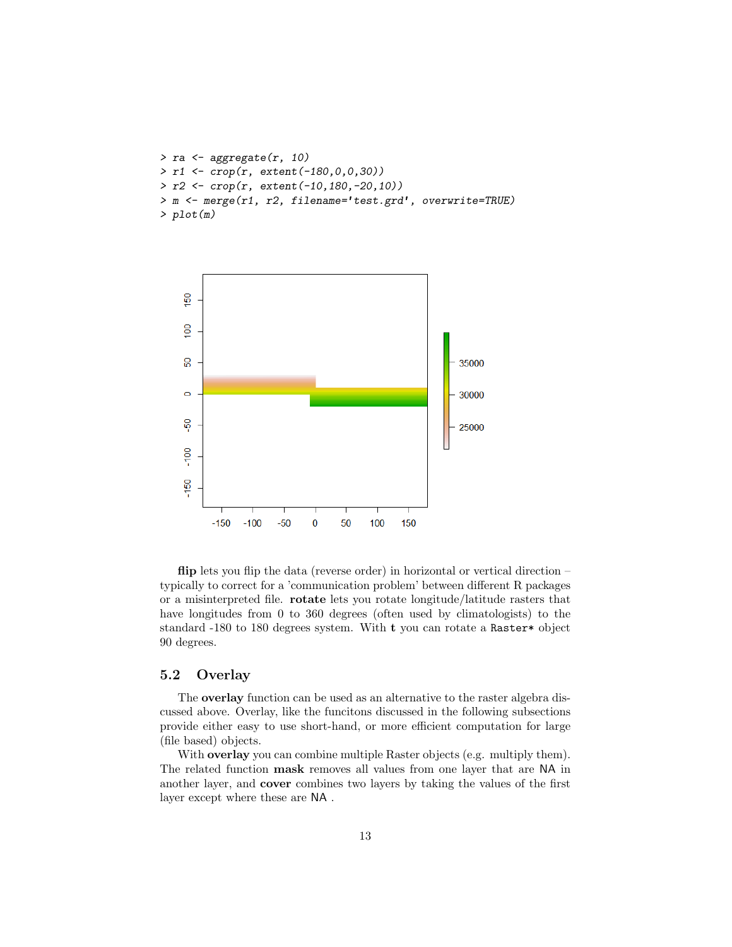```
> ra <- aggregate(r, 10)
> r1 <- crop(r, extent(-180,0,0,30))
> r2 <- crop(r, extent(-10,180,-20,10))
> m <- merge(r1, r2, filename='test.grd', overwrite=TRUE)
> plot(m)
```


flip lets you flip the data (reverse order) in horizontal or vertical direction  $$ typically to correct for a 'communication problem' between different R packages or a misinterpreted file. rotate lets you rotate longitude/latitude rasters that have longitudes from 0 to 360 degrees (often used by climatologists) to the standard -180 to 180 degrees system. With t you can rotate a Raster\* object 90 degrees.

#### 5.2 Overlay

The overlay function can be used as an alternative to the raster algebra discussed above. Overlay, like the funcitons discussed in the following subsections provide either easy to use short-hand, or more efficient computation for large (file based) objects.

With **overlay** you can combine multiple Raster objects (e.g. multiply them). The related function mask removes all values from one layer that are NA in another layer, and cover combines two layers by taking the values of the first layer except where these are NA .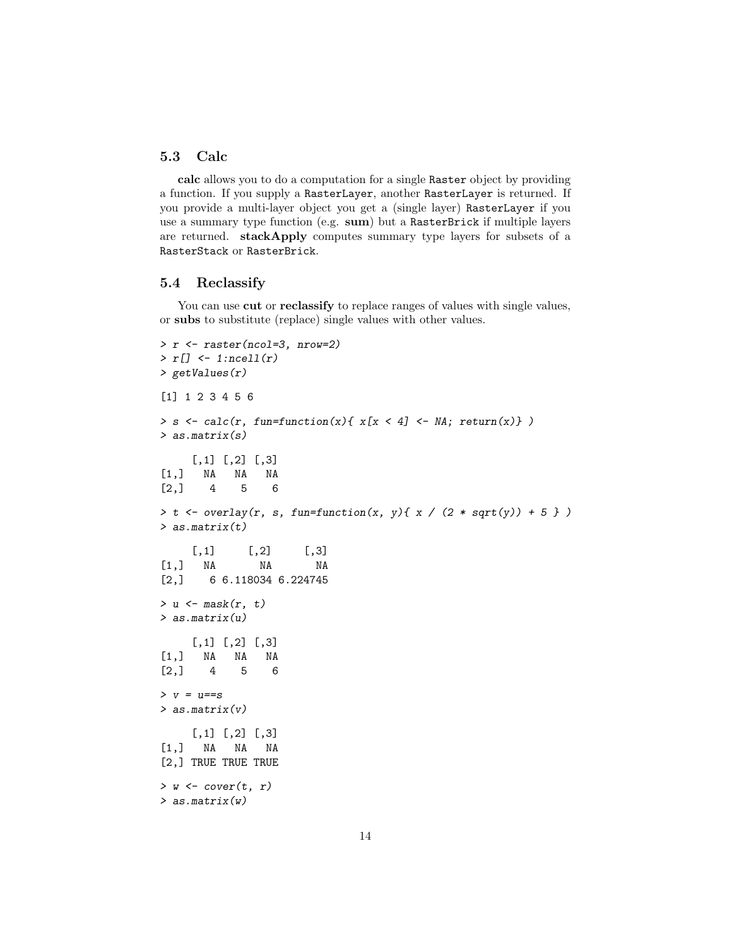#### 5.3 Calc

calc allows you to do a computation for a single Raster object by providing a function. If you supply a RasterLayer, another RasterLayer is returned. If you provide a multi-layer object you get a (single layer) RasterLayer if you use a summary type function (e.g. sum) but a RasterBrick if multiple layers are returned. stackApply computes summary type layers for subsets of a RasterStack or RasterBrick.

#### 5.4 Reclassify

You can use **cut** or **reclassify** to replace ranges of values with single values, or subs to substitute (replace) single values with other values.

```
> r <- raster(ncol=3, nrow=2)
> r[] \leftarrow 1:ncell(r)> getValues(r)
[1] 1 2 3 4 5 6
> s \leftarrow \text{calc}(r, \text{ fun-function}(x) \{ x[x \leftarrow 4] \leftarrow \text{MA}; \text{return}(x) \} )> as.matrix(s)
     [,1] [,2] [,3][1,] NA NA NA
[2,] 4 5 6
> t <- overlay(r, s, fun=function(x, y){ x / (2 * sqrt(y)) + 5 } )
> as.matrix(t)
     [,1] [,2] [,3][1,] NA NA NA
[2,] 6 6.118034 6.224745
> u \leftarrow mask(r, t)> as.matrix(u)
     [,1] [,2] [,3][1,] NA NA NA
[2,] 4 5 6> v = u == s> as.matrix(v)
     [,1] [,2] [,3][1,] NA NA NA
[2,] TRUE TRUE TRUE
> w \leq cover(t, r)
> as.matrix(w)
```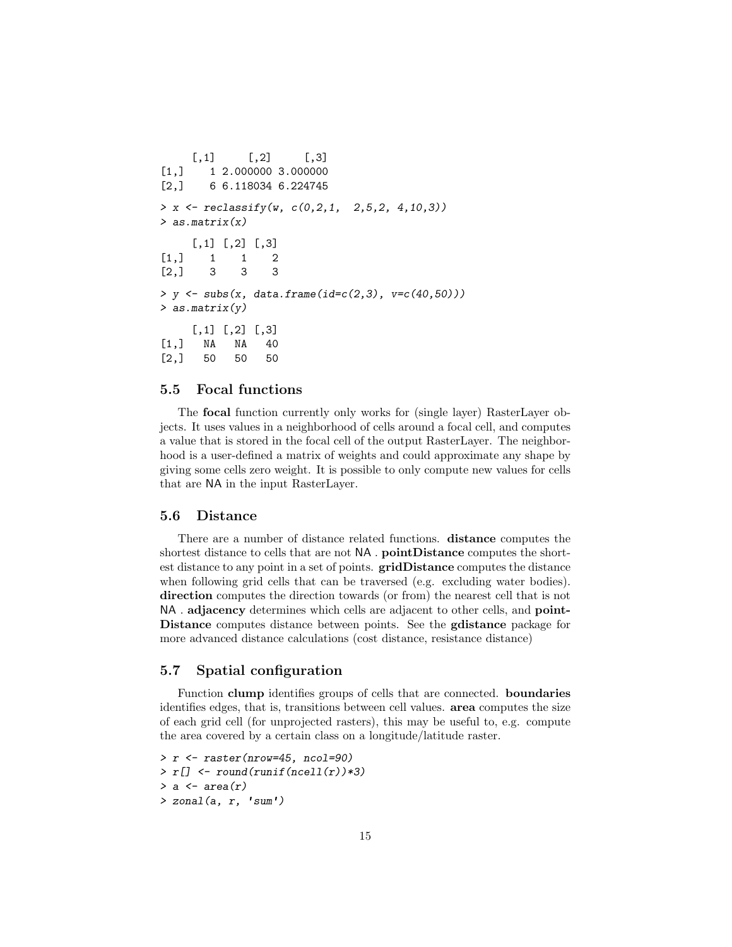```
[,1] [,2] [,3][1,] 1 2.000000 3.000000
[2,] 6 6.118034 6.224745
> x <- reclassify(w, c(0,2,1, 2,5,2, 4,10,3))
> as.matrix(x)
     [,1] [,2] [,3][1,] 1 1 2
[2,] 3 3 3
> y \leftarrow \text{subs}(x, \text{ data}. \text{frame}(id = c(2, 3), v = c(40, 50)))> as.matrix(y)
     [,1] [,2] [,3][1,] NA NA 40
[2,] 50 50 50
```
#### 5.5 Focal functions

The focal function currently only works for (single layer) RasterLayer objects. It uses values in a neighborhood of cells around a focal cell, and computes a value that is stored in the focal cell of the output RasterLayer. The neighborhood is a user-defined a matrix of weights and could approximate any shape by giving some cells zero weight. It is possible to only compute new values for cells that are NA in the input RasterLayer.

#### 5.6 Distance

There are a number of distance related functions. distance computes the shortest distance to cells that are not  $NA$ . pointDistance computes the shortest distance to any point in a set of points. gridDistance computes the distance when following grid cells that can be traversed (e.g. excluding water bodies). direction computes the direction towards (or from) the nearest cell that is not NA . adjacency determines which cells are adjacent to other cells, and point-Distance computes distance between points. See the gdistance package for more advanced distance calculations (cost distance, resistance distance)

#### 5.7 Spatial configuration

Function clump identifies groups of cells that are connected. boundaries identifies edges, that is, transitions between cell values. area computes the size of each grid cell (for unprojected rasters), this may be useful to, e.g. compute the area covered by a certain class on a longitude/latitude raster.

```
> r <- raster(nrow=45, ncol=90)
> r[] \le round(runif(ncell(r))*3)
> a \leftarrow area(r)> zonal(a, r, 'sum')
```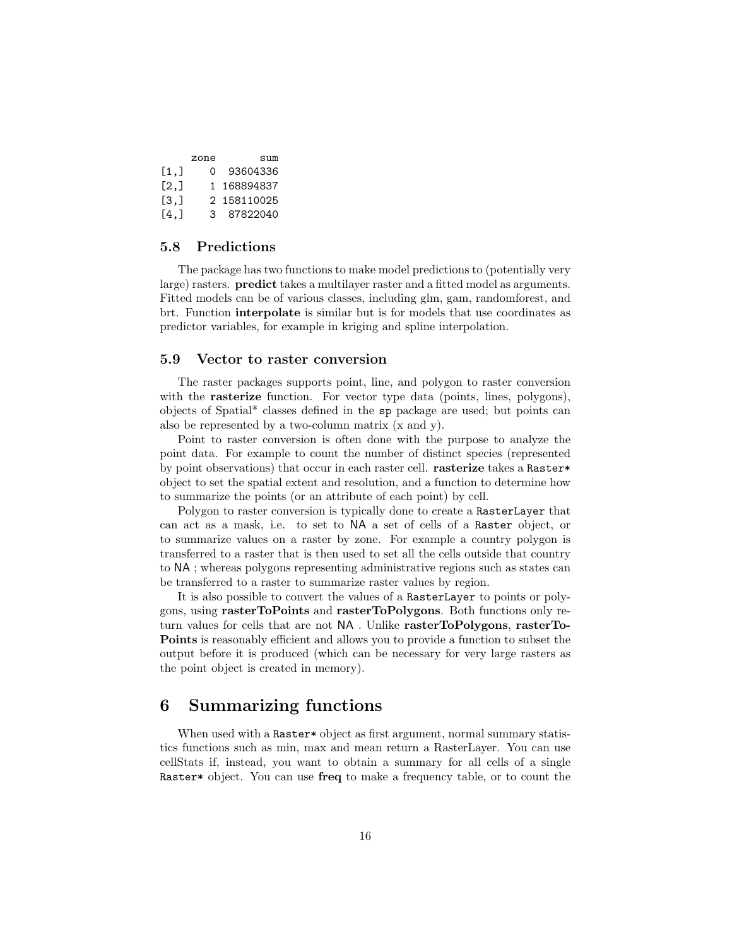|      | zone | sum         |
|------|------|-------------|
| [1,] | ∩.   | 93604336    |
| [2,] |      | 1 168894837 |
| [3,] |      | 2 158110025 |
| [4,] |      | 3 87822040  |

#### 5.8 Predictions

The package has two functions to make model predictions to (potentially very large) rasters. predict takes a multilayer raster and a fitted model as arguments. Fitted models can be of various classes, including glm, gam, randomforest, and brt. Function interpolate is similar but is for models that use coordinates as predictor variables, for example in kriging and spline interpolation.

#### 5.9 Vector to raster conversion

The raster packages supports point, line, and polygon to raster conversion with the **rasterize** function. For vector type data (points, lines, polygons), objects of Spatial\* classes defined in the sp package are used; but points can also be represented by a two-column matrix (x and y).

Point to raster conversion is often done with the purpose to analyze the point data. For example to count the number of distinct species (represented by point observations) that occur in each raster cell. rasterize takes a Raster\* object to set the spatial extent and resolution, and a function to determine how to summarize the points (or an attribute of each point) by cell.

Polygon to raster conversion is typically done to create a RasterLayer that can act as a mask, i.e. to set to NA a set of cells of a Raster object, or to summarize values on a raster by zone. For example a country polygon is transferred to a raster that is then used to set all the cells outside that country to NA ; whereas polygons representing administrative regions such as states can be transferred to a raster to summarize raster values by region.

It is also possible to convert the values of a RasterLayer to points or polygons, using rasterToPoints and rasterToPolygons. Both functions only return values for cells that are not NA . Unlike rasterToPolygons, rasterTo-Points is reasonably efficient and allows you to provide a function to subset the output before it is produced (which can be necessary for very large rasters as the point object is created in memory).

### 6 Summarizing functions

When used with a Raster\* object as first argument, normal summary statistics functions such as min, max and mean return a RasterLayer. You can use cellStats if, instead, you want to obtain a summary for all cells of a single Raster\* object. You can use freq to make a frequency table, or to count the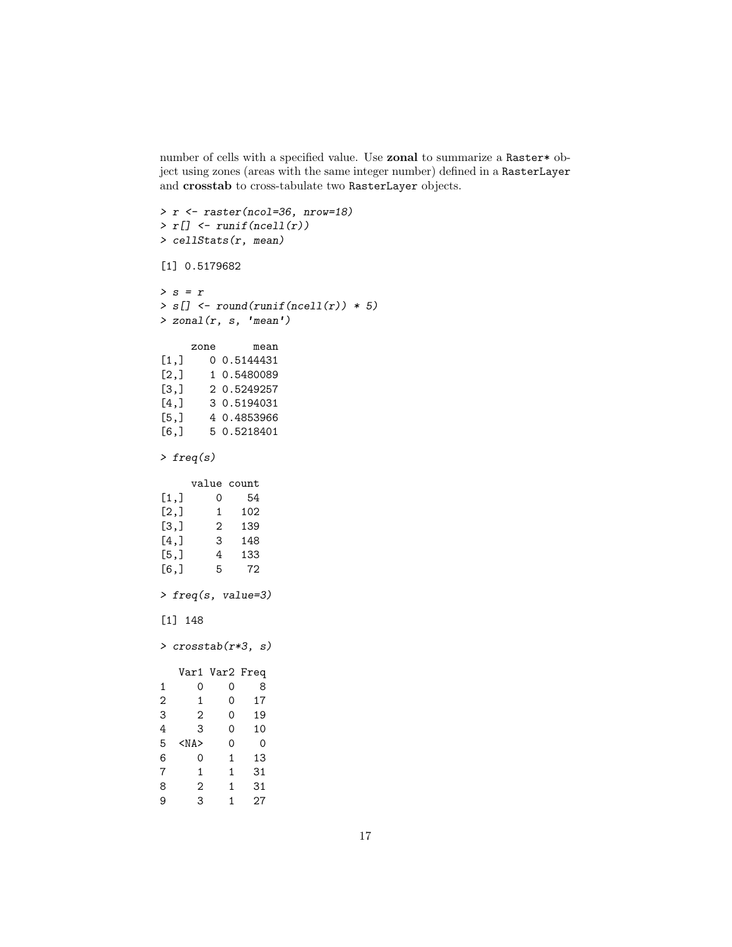number of cells with a specified value. Use zonal to summarize a Raster\* object using zones (areas with the same integer number) defined in a RasterLayer and crosstab to cross-tabulate two RasterLayer objects.

```
> r <- raster(ncol=36, nrow=18)
> r[] \leftarrow runif(ncell(r))> cellStats(r, mean)
[1] 0.5179682
> s = r> s[] \leftarrow \text{round}(\text{runif}(\text{ncell}(r)) * 5)> zonal(r, s, 'mean')
    zone mean
[1,] 0 0.5144431
[2,] 1 0.5480089
[3,] 2 0.5249257
[4,] 3 0.5194031
[5,] 4 0.4853966
[6,] 5 0.5218401
> freq(s)
    value count
[1,] 0 54
[2,] 1 102
[3,] 2 139
[4,] 3 148
[5,] 4 133
[6,] 5 72
> freq(s, value=3)
[1] 148
> crosstab(r*3, s)
  Var1 Var2 Freq
1 0 0 8
2 1 0 17
3 2 0 19
4 3 0 10
5 <NA> 0 0
6 0 1 13
7 1 1 31
8 2 1 31
9 3 1 27
```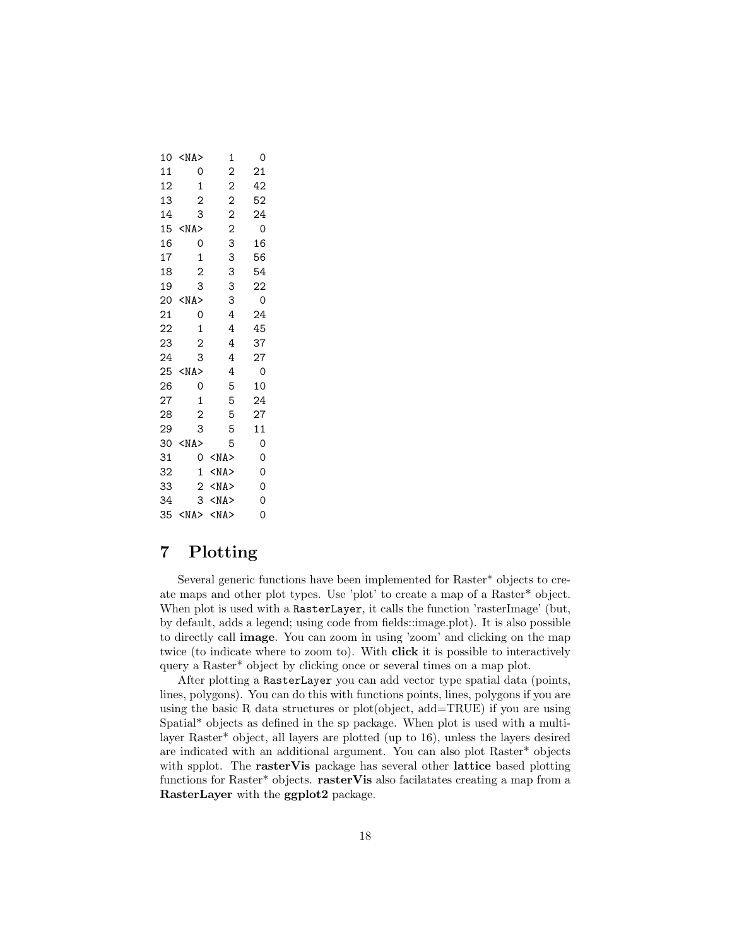| 10 | <na></na>               | $\mathbf{1}$            | 0              |
|----|-------------------------|-------------------------|----------------|
| 11 | 0                       | $\overline{\mathbf{c}}$ | 21             |
| 12 | $\mathbf{1}$            | $\overline{c}$          | 42             |
| 13 | $\overline{c}$          | $\overline{c}$          | 52             |
| 14 | 3                       | $\overline{c}$          | 24             |
| 15 | <na></na>               | $\overline{c}$          | 0              |
| 16 | 0                       | 3                       | 16             |
| 17 | $\mathbf{1}$            | 3                       | 56             |
| 18 | $\overline{c}$          | 3                       | 54             |
| 19 | 3                       | 3                       | 22             |
| 20 | $<$ NA $>$              | 3                       | 0              |
| 21 | 0                       | 4                       | 24             |
| 22 | $\mathbf{1}$            | 4                       | 45             |
| 23 | $\overline{\mathbf{c}}$ | $\overline{4}$          | 37             |
| 24 | 3                       | 4                       | 27             |
| 25 | $<$ NA $>$              | 4                       | 0              |
| 26 | 0                       | 5                       | 10             |
| 27 | $\mathbf{1}$            | 5                       | 24             |
| 28 | $\overline{c}$          | 5                       | 27             |
| 29 | 3                       | 5                       | 11             |
| 30 | $<$ NA $>$              | 5                       | $\mathbf{O}$   |
| 31 | 0                       | <na></na>               | $\circ$        |
| 32 | $\mathbf 1$             | $<$ NA $>$              | $\overline{0}$ |
| 33 | $\overline{\mathbf{c}}$ | $<$ NA $>$              | $\mathsf{O}$   |
| 34 | 3                       | $<$ NA $>$              | 0              |
| 35 | $<$ NA $>$              | $<$ NA $>$              | 0              |

# 7 Plotting

Several generic functions have been implemented for Raster\* objects to create maps and other plot types. Use 'plot' to create a map of a Raster\* object. When plot is used with a RasterLayer, it calls the function 'rasterImage' (but, by default, adds a legend; using code from fields::image.plot). It is also possible to directly call image. You can zoom in using 'zoom' and clicking on the map twice (to indicate where to zoom to). With click it is possible to interactively query a Raster\* object by clicking once or several times on a map plot.

After plotting a RasterLayer you can add vector type spatial data (points, lines, polygons). You can do this with functions points, lines, polygons if you are using the basic R data structures or plot(object, add=TRUE) if you are using Spatial\* objects as defined in the sp package. When plot is used with a multilayer Raster\* object, all layers are plotted (up to 16), unless the layers desired are indicated with an additional argument. You can also plot Raster\* objects with spplot. The **rasterVis** package has several other **lattice** based plotting functions for Raster<sup>\*</sup> objects. rasterVis also facilatates creating a map from a RasterLayer with the ggplot2 package.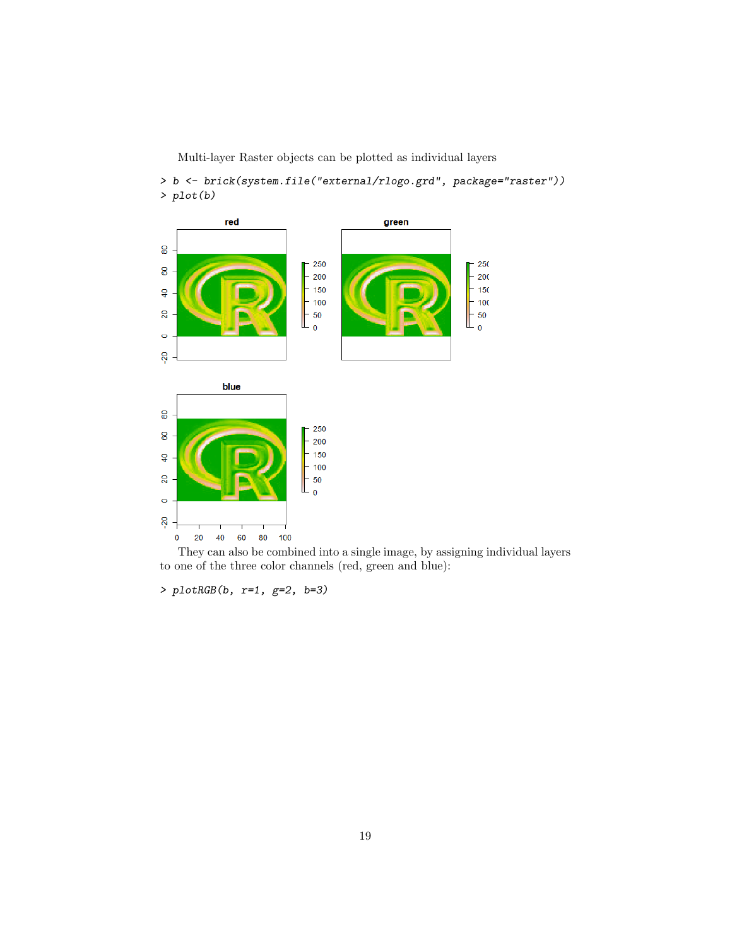Multi-layer Raster objects can be plotted as individual layers

> b <- brick(system.file("external/rlogo.grd", package="raster")) > plot(b)



They can also be combined into a single image, by assigning individual layers to one of the three color channels (red, green and blue):

 $> plotRGB(b, r=1, g=2, b=3)$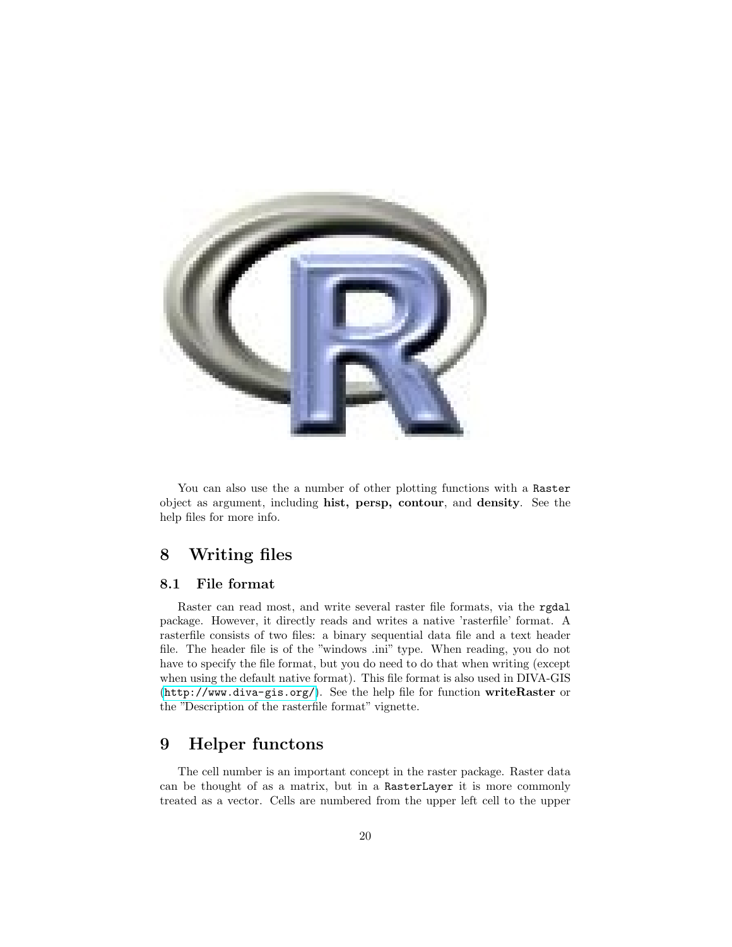

You can also use the a number of other plotting functions with a Raster object as argument, including hist, persp, contour, and density. See the help files for more info.

# 8 Writing files

#### 8.1 File format

Raster can read most, and write several raster file formats, via the rgdal package. However, it directly reads and writes a native 'rasterfile' format. A rasterfile consists of two files: a binary sequential data file and a text header file. The header file is of the "windows .ini" type. When reading, you do not have to specify the file format, but you do need to do that when writing (except when using the default native format). This file format is also used in DIVA-GIS (<http://www.diva-gis.org/>). See the help file for function writeRaster or the "Description of the rasterfile format" vignette.

# 9 Helper functons

The cell number is an important concept in the raster package. Raster data can be thought of as a matrix, but in a RasterLayer it is more commonly treated as a vector. Cells are numbered from the upper left cell to the upper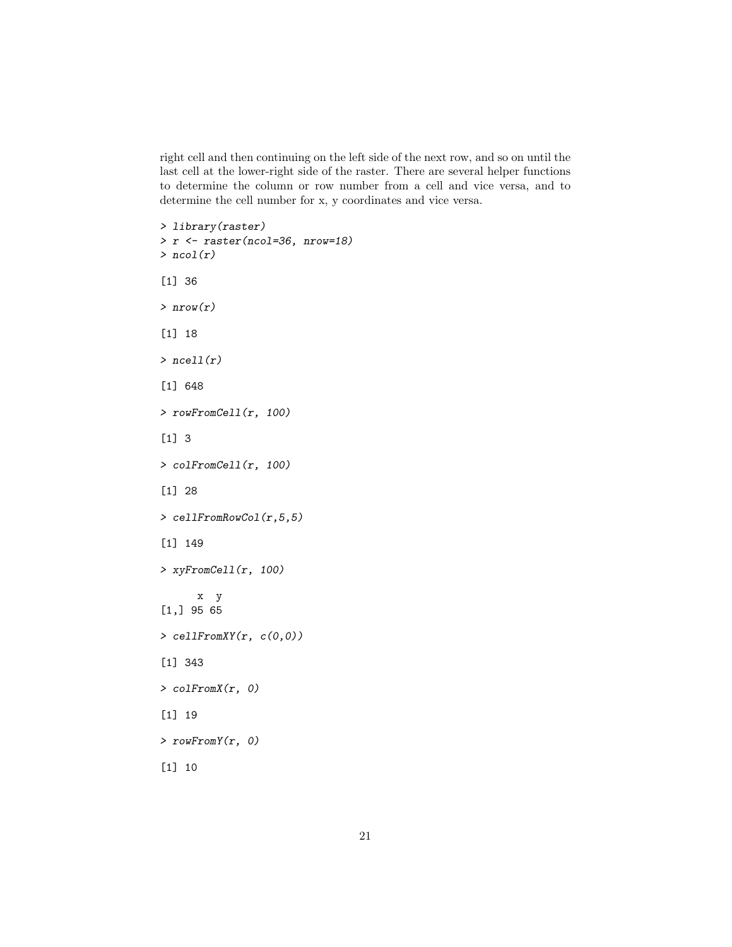right cell and then continuing on the left side of the next row, and so on until the last cell at the lower-right side of the raster. There are several helper functions to determine the column or row number from a cell and vice versa, and to determine the cell number for x, y coordinates and vice versa.

```
> library(raster)
> r <- raster(ncol=36, nrow=18)
> ncol(r)
[1] 36
> nrow(r)[1] 18
> ncell(r)[1] 648
> rowFromCell(r, 100)
[1] 3
> colFromCell(r, 100)
[1] 28
> cellFromRowCol(r,5,5)
[1] 149
> xyFromCell(r, 100)
     x y
[1,] 95 65
> cellFromXY(r, c(0,0))
[1] 343
> colFromX(r, 0)
[1] 19
> rowFromY(r, 0)
[1] 10
```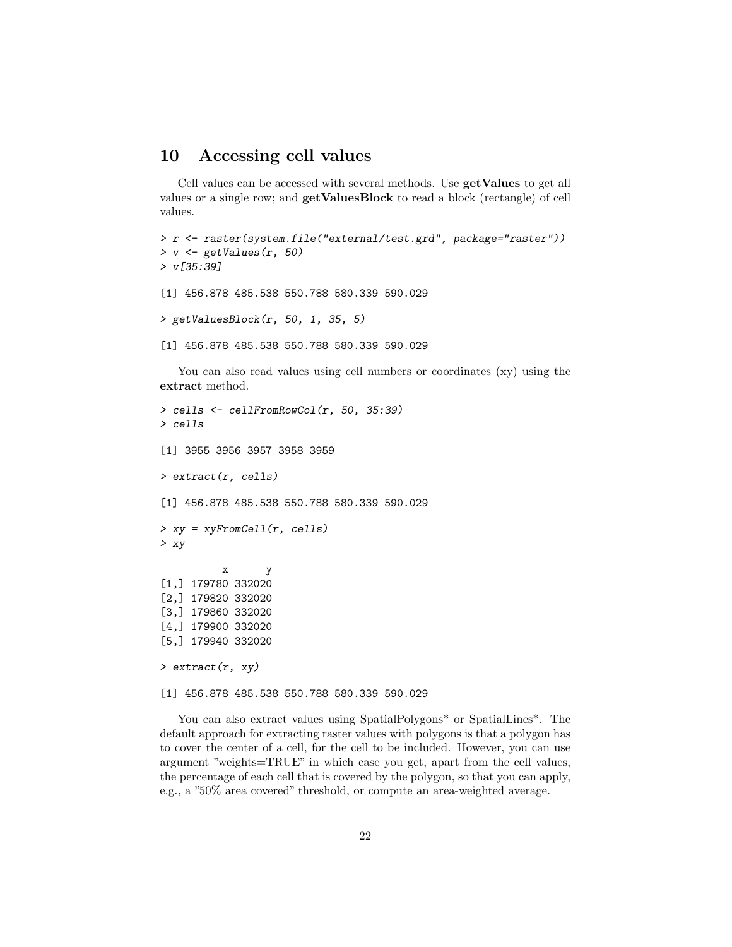### 10 Accessing cell values

Cell values can be accessed with several methods. Use getValues to get all values or a single row; and getValuesBlock to read a block (rectangle) of cell values.

```
> r <- raster(system.file("external/test.grd", package="raster"))
> v <- getValues(r, 50)
> v[35:39]
[1] 456.878 485.538 550.788 580.339 590.029
> getValuesBlock(r, 50, 1, 35, 5)
[1] 456.878 485.538 550.788 580.339 590.029
   You can also read values using cell numbers or coordinates (xy) using the
extract method.
> cells <- cellFromRowCol(r, 50, 35:39)
> cells
[1] 3955 3956 3957 3958 3959
> extract(r, cells)
[1] 456.878 485.538 550.788 580.339 590.029
> xy = xyFromCell(r, cells)
> xy
          x y
[1,] 179780 332020
[2,] 179820 332020
[3,] 179860 332020
[4,] 179900 332020
[5,] 179940 332020
```
 $>$  extract(r, xy)

[1] 456.878 485.538 550.788 580.339 590.029

You can also extract values using SpatialPolygons\* or SpatialLines\*. The default approach for extracting raster values with polygons is that a polygon has to cover the center of a cell, for the cell to be included. However, you can use argument "weights=TRUE" in which case you get, apart from the cell values, the percentage of each cell that is covered by the polygon, so that you can apply, e.g., a "50% area covered" threshold, or compute an area-weighted average.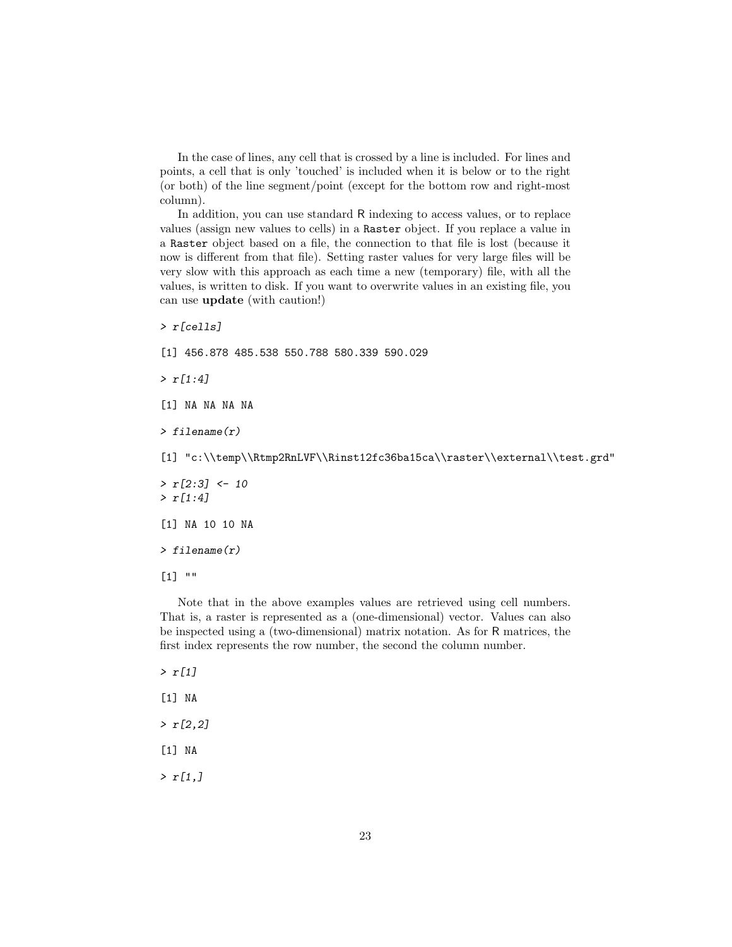In the case of lines, any cell that is crossed by a line is included. For lines and points, a cell that is only 'touched' is included when it is below or to the right (or both) of the line segment/point (except for the bottom row and right-most column).

In addition, you can use standard R indexing to access values, or to replace values (assign new values to cells) in a Raster object. If you replace a value in a Raster object based on a file, the connection to that file is lost (because it now is different from that file). Setting raster values for very large files will be very slow with this approach as each time a new (temporary) file, with all the values, is written to disk. If you want to overwrite values in an existing file, you can use update (with caution!)

```
> r[cells]
```
[1] 456.878 485.538 550.788 580.339 590.029

 $> r[1:4]$ 

[1] NA NA NA NA

> filename(r)

[1] "c:\\temp\\Rtmp2RnLVF\\Rinst12fc36ba15ca\\raster\\external\\test.grd"

 $> r[2:3] < -10$  $> r[1:4]$ [1] NA 10 10 NA > filename(r)

 $[1]$  ""

Note that in the above examples values are retrieved using cell numbers. That is, a raster is represented as a (one-dimensional) vector. Values can also be inspected using a (two-dimensional) matrix notation. As for R matrices, the first index represents the row number, the second the column number.

> r[1] [1] NA  $> r[2,2]$ [1] NA  $> r[1,]$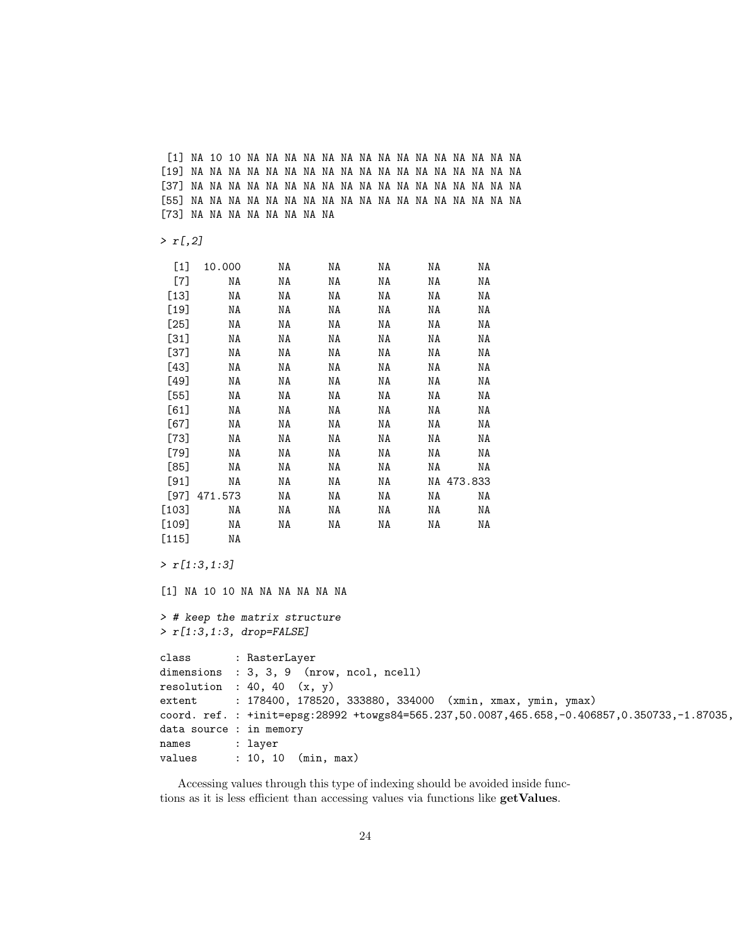[1] NA 10 10 NA NA NA NA NA NA NA NA NA NA NA NA NA NA NA [19] NA NA NA NA NA NA NA NA NA NA NA NA NA NA NA NA NA NA [37] NA NA NA NA NA NA NA NA NA NA NA NA NA NA NA NA NA NA [55] NA NA NA NA NA NA NA NA NA NA NA NA NA NA NA NA NA NA [73] NA NA NA NA NA NA NA NA

 $> r[,2]$ 

| [1]     | 10.000  | ΝA | ΝA | ΝA | ΝA | ΝA         |
|---------|---------|----|----|----|----|------------|
| [7]     | ΝA      | ΝA | ΝA | ΝA | ΝA | ΝA         |
| [13]    | ΝA      | ΝA | ΝA | ΝA | ΝA | ΝA         |
| [19]    | ΝA      | ΝA | ΝA | ΝA | ΝA | ΝA         |
| [25]    | ΝA      | ΝA | ΝA | ΝA | ΝA | ΝA         |
| [31]    | ΝA      | ΝA | ΝA | ΝA | ΝA | ΝA         |
| [37]    | ΝA      | ΝA | ΝA | ΝA | ΝA | ΝA         |
| [43]    | ΝA      | ΝA | ΝA | ΝA | ΝA | ΝA         |
| [49]    | ΝA      | ΝA | ΝA | ΝA | ΝA | ΝA         |
| [55]    | ΝA      | ΝA | ΝA | ΝA | ΝA | ΝA         |
| [61]    | ΝA      | ΝA | ΝA | ΝA | ΝA | ΝA         |
| [67]    | ΝA      | ΝA | ΝA | ΝA | ΝA | ΝA         |
| [73]    | ΝA      | ΝA | ΝA | ΝA | ΝA | ΝA         |
| [79]    | ΝA      | ΝA | ΝA | ΝA | ΝA | ΝA         |
| [85]    | ΝA      | NΑ | ΝA | ΝA | ΝA | ΝA         |
| [91]    | ΝA      | ΝA | ΝA | ΝA |    | NA 473.833 |
| [97]    | 471.573 | NΑ | ΝA | ΝA | ΝA | ΝA         |
| $[103]$ | ΝA      | NΑ | ΝA | ΝA | ΝA | ΝA         |
| [109]   | ΝA      | ΝA | ΝA | ΝA | ΝA | ΝA         |

> r[1:3,1:3]

[115] NA

[1] NA 10 10 NA NA NA NA NA NA

> # keep the matrix structure  $> r[1:3, 1:3,$  drop=FALSE]

```
class : RasterLayer
dimensions : 3, 3, 9 (nrow, ncol, ncell)
resolution : 40, 40 (x, y)
extent : 178400, 178520, 333880, 334000 (xmin, xmax, ymin, ymax)
coord. ref. : +init=epsg:28992 +towgs84=565.237,50.0087,465.658,-0.406857,0.350733,-1.87035
data source : in memory
names : layer
values : 10, 10 (min, max)
```
Accessing values through this type of indexing should be avoided inside functions as it is less efficient than accessing values via functions like getValues.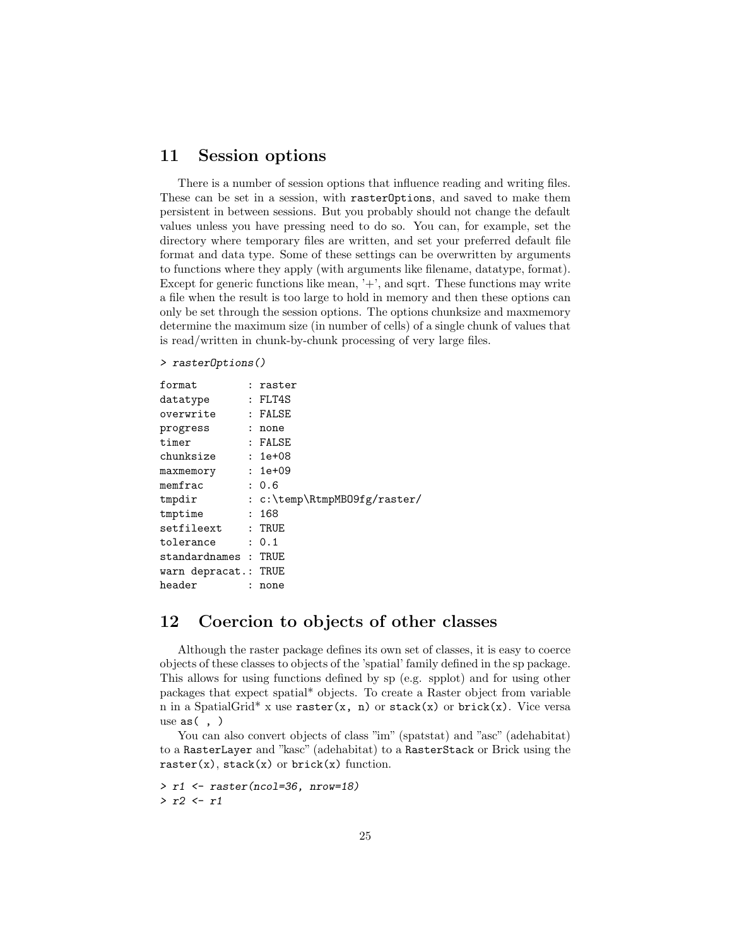### 11 Session options

There is a number of session options that influence reading and writing files. These can be set in a session, with rasterOptions, and saved to make them persistent in between sessions. But you probably should not change the default values unless you have pressing need to do so. You can, for example, set the directory where temporary files are written, and set your preferred default file format and data type. Some of these settings can be overwritten by arguments to functions where they apply (with arguments like filename, datatype, format). Except for generic functions like mean,  $'$ +', and sqrt. These functions may write a file when the result is too large to hold in memory and then these options can only be set through the session options. The options chunksize and maxmemory determine the maximum size (in number of cells) of a single chunk of values that is read/written in chunk-by-chunk processing of very large files.

```
> rasterOptions()
```

| format               | : raster                     |
|----------------------|------------------------------|
| datatype             | : FLT4S                      |
| overwrite            | : FALSE                      |
| progress             | : none                       |
| timer                | : FALSE                      |
| chunksize            | : 1e+08                      |
| maxmemory : 1e+09    |                              |
| memfrac              | : 0.6                        |
| tmpdir               | : c:\temp\RtmpMBO9fg/raster/ |
| tmptime              | : 168                        |
| setfileext : TRUE    |                              |
| tolerance            | $\therefore$ 0.1             |
| standardnames : TRUE |                              |
| warn depracat.: TRUE |                              |
| header               | none                         |

### 12 Coercion to objects of other classes

Although the raster package defines its own set of classes, it is easy to coerce objects of these classes to objects of the 'spatial' family defined in the sp package. This allows for using functions defined by sp (e.g. spplot) and for using other packages that expect spatial\* objects. To create a Raster object from variable n in a SpatialGrid\* x use raster(x, n) or stack(x) or brick(x). Vice versa use  $\text{as}($ ,  $)$ 

You can also convert objects of class "im" (spatstat) and "asc" (adehabitat) to a RasterLayer and "kasc" (adehabitat) to a RasterStack or Brick using the  $raster(x)$ ,  $stack(x)$  or  $brick(x)$  function.

> r1 <- raster(ncol=36, nrow=18)  $> r2 < - r1$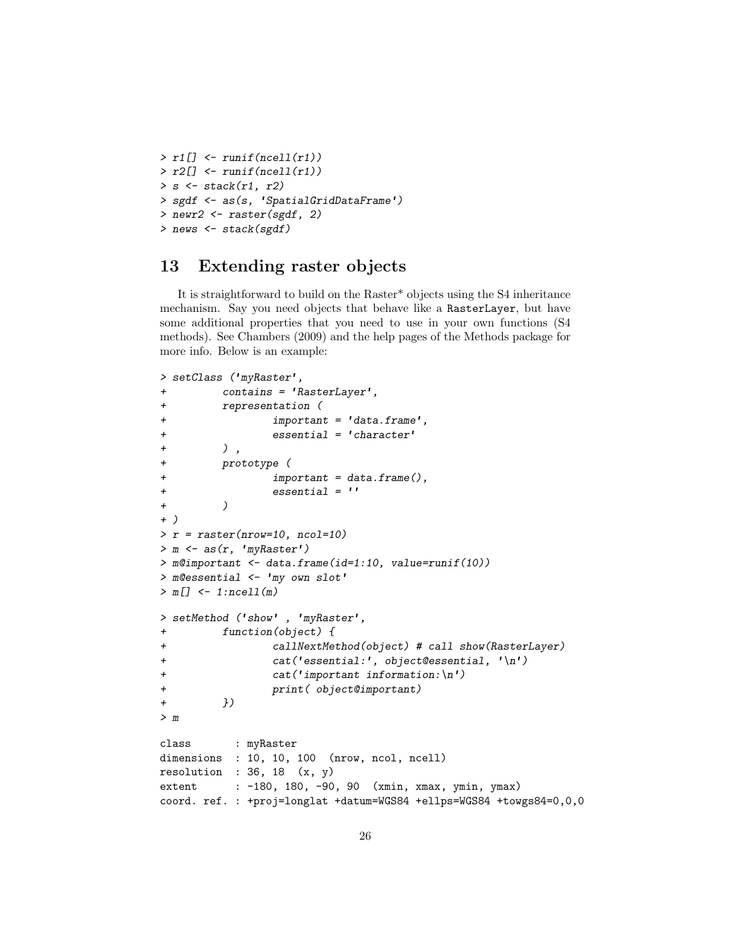```
> r1[] \leftarrow runif(ncell(r1))
> r2[] <- runif(ncell(r1))
> s \leftarrow \text{stack}(r1, r2)> sgdf <- as(s, 'SpatialGridDataFrame')
> newr2 <- raster(sgdf, 2)
> news <- stack(sgdf)
```
### 13 Extending raster objects

It is straightforward to build on the Raster\* objects using the S4 inheritance mechanism. Say you need objects that behave like a RasterLayer, but have some additional properties that you need to use in your own functions (S4 methods). See Chambers (2009) and the help pages of the Methods package for more info. Below is an example:

```
> setClass ('myRaster',
+ contains = 'RasterLayer',
+ representation (
+ important = 'data.frame',
+ essential = 'character'
+ ) ,
+ prototype (
+ important = data.frame(),
+ essential = ''
+ )
+ )
> r = raster(nrow=10, ncol=10)
> m \leq as(r, 'myRaster')> m@important <- data.frame(id=1:10, value=runif(10))
> m@essential <- 'my own slot'
> m[] \leq -1:ncell(m)> setMethod ('show' , 'myRaster',
+ function(object) {
+ callNextMethod(object) # call show(RasterLayer)
+ cat('essential:', object@essential, '\n')
+ cat('important information:\n')
+ print( object@important)
+ })
> m
class : myRaster
dimensions : 10, 10, 100 (nrow, ncol, ncell)
resolution : 36, 18 (x, y)extent : -180, 180, -90, 90 (xmin, xmax, ymin, ymax)
coord. ref. : +proj=longlat +datum=WGS84 +ellps=WGS84 +towgs84=0,0,0
```